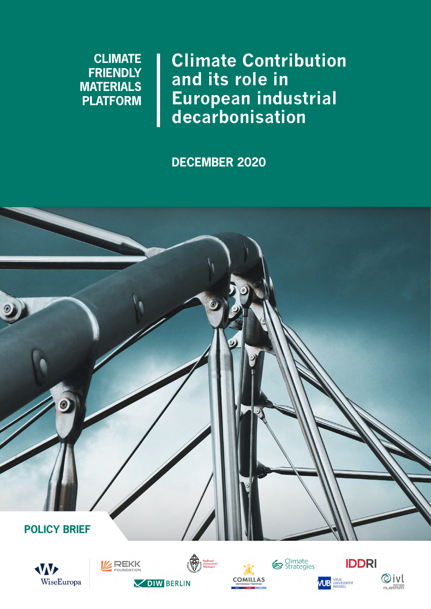# **CLIMATE FRIENDLY MATERIALS PLATFORM**

**Climate Contribution and its role in European industrial decarbonisation**

**DECEMBER 2020**











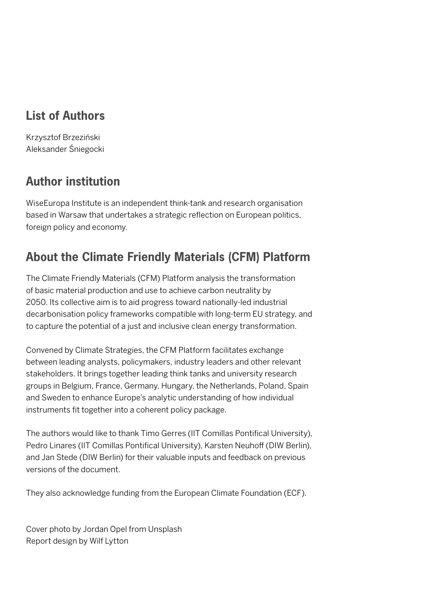## **List of Authors**

Krzysztof Brzeziński Aleksander Śniegocki

# **Author institution**

WiseEuropa Institute is an independent think-tank and research organisation based in Warsaw that undertakes a strategic reflection on European politics, foreign policy and economy.

# **About the Climate Friendly Materials (CFM) Platform**

The Climate Friendly Materials (CFM) Platform analysis the transformation of basic material production and use to achieve carbon neutrality by 2050. Its collective aim is to aid progress toward nationally-led industrial decarbonisation policy frameworks compatible with long-term EU strategy, and to capture the potential of a just and inclusive clean energy transformation.

Convened by Climate Strategies, the CFM Platform facilitates exchange between leading analysts, policymakers, industry leaders and other relevant stakeholders. It brings together leading think tanks and university research groups in Belgium, France, Germany, Hungary, the Netherlands, Poland, Spain and Sweden to enhance Europe's analytic understanding of how individual instruments fit together into a coherent policy package.

The authors would like to thank Timo Gerres (IIT Comillas Pontifical University), Pedro Linares (IIT Comillas Pontifical University), Karsten Neuhoff (DIW Berlin), and Jan Stede (DIW Berlin) for their valuable inputs and feedback on previous versions of the document.

They also acknowledge funding from the European Climate Foundation (ECF).

Cover photo by Jordan Opel from Unsplash Report design by Wilf Lytton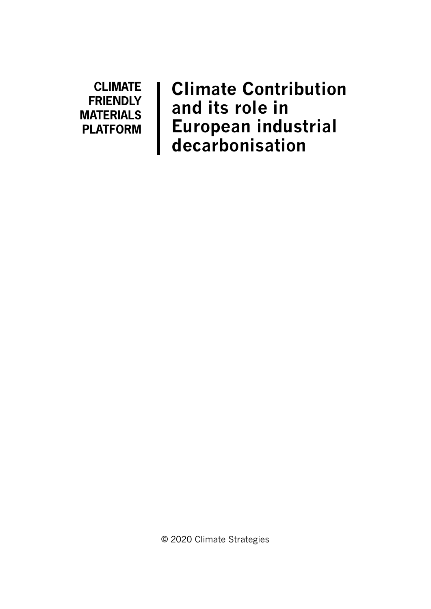**CLIMATE FRIENDLY MATERIALS PLATFORM**

**Climate Contribution and its role in European industrial decarbonisation**

© 2020 Climate Strategies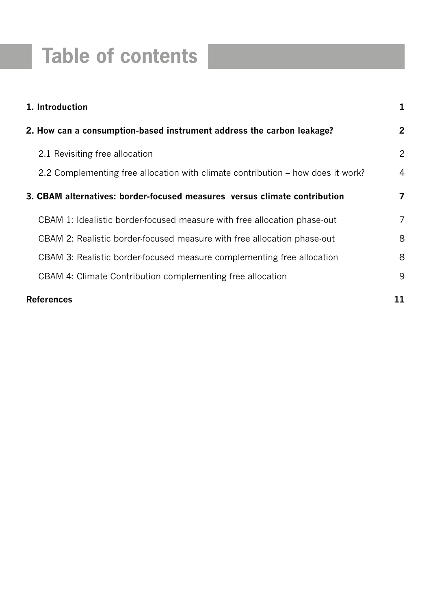# **Table of contents**

| 1. Introduction                                                                 |                |
|---------------------------------------------------------------------------------|----------------|
| 2. How can a consumption-based instrument address the carbon leakage?           | $\mathbf{2}$   |
| 2.1 Revisiting free allocation                                                  | $\overline{2}$ |
| 2.2 Complementing free allocation with climate contribution – how does it work? | 4              |
| 3. CBAM alternatives: border-focused measures versus climate contribution       | $\overline{7}$ |
| CBAM 1: Idealistic border-focused measure with free allocation phase-out        | $\overline{7}$ |
| CBAM 2: Realistic border-focused measure with free allocation phase-out         | 8              |
| CBAM 3: Realistic border focused measure complementing free allocation          | 8              |
| CBAM 4: Climate Contribution complementing free allocation                      | 9              |
| <b>References</b>                                                               |                |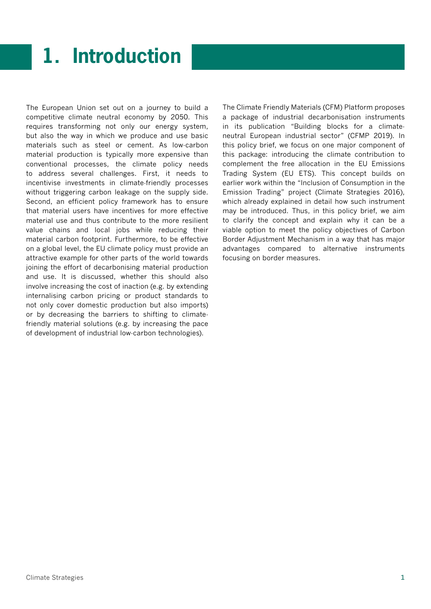# **1. Introduction**

The European Union set out on a journey to build a competitive climate neutral economy by 2050. This requires transforming not only our energy system, but also the way in which we produce and use basic materials such as steel or cement. As low-carbon material production is typically more expensive than conventional processes, the climate policy needs to address several challenges. First, it needs to incentivise investments in climate-friendly processes without triggering carbon leakage on the supply side. Second, an efficient policy framework has to ensure that material users have incentives for more effective material use and thus contribute to the more resilient value chains and local jobs while reducing their material carbon footprint. Furthermore, to be effective on a global level, the EU climate policy must provide an attractive example for other parts of the world towards joining the effort of decarbonising material production and use. It is discussed, whether this should also involve increasing the cost of inaction (e.g. by extending internalising carbon pricing or product standards to not only cover domestic production but also imports) or by decreasing the barriers to shifting to climatefriendly material solutions (e.g. by increasing the pace of development of industrial low-carbon technologies).

The Climate Friendly Materials (CFM) Platform proposes a package of industrial decarbonisation instruments in its publication "Building blocks for a climateneutral European industrial sector" (CFMP 2019). In this policy brief, we focus on one major component of this package: introducing the climate contribution to complement the free allocation in the EU Emissions Trading System (EU ETS). This concept builds on earlier work within the "Inclusion of Consumption in the Emission Trading" project (Climate Strategies 2016), which already explained in detail how such instrument may be introduced. Thus, in this policy brief, we aim to clarify the concept and explain why it can be a viable option to meet the policy objectives of Carbon Border Adjustment Mechanism in a way that has major advantages compared to alternative instruments focusing on border measures.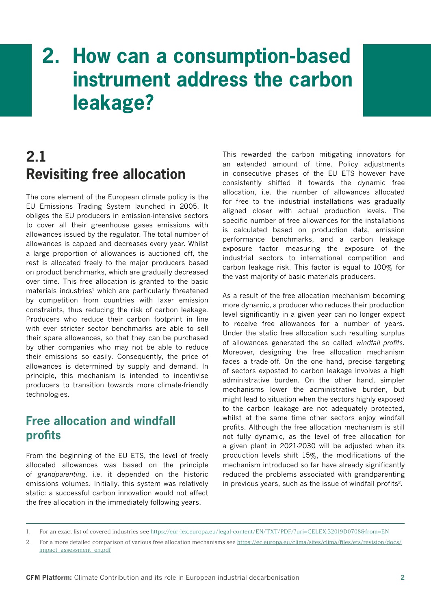# **2. How can a consumption-based instrument address the carbon leakage?**



The core element of the European climate policy is the EU Emissions Trading System launched in 2005. It obliges the EU producers in emission-intensive sectors to cover all their greenhouse gases emissions with allowances issued by the regulator. The total number of allowances is capped and decreases every year. Whilst a large proportion of allowances is auctioned off, the rest is allocated freely to the major producers based on product benchmarks, which are gradually decreased over time. This free allocation is granted to the basic materials industries<sup>1</sup> which are particularly threatened by competition from countries with laxer emission constraints, thus reducing the risk of carbon leakage. Producers who reduce their carbon footprint in line with ever stricter sector benchmarks are able to sell their spare allowances, so that they can be purchased by other companies who may not be able to reduce their emissions so easily. Consequently, the price of allowances is determined by supply and demand. In principle, this mechanism is intended to incentivise producers to transition towards more climate-friendly technologies.

### **Free allocation and windfall profits**

From the beginning of the EU ETS, the level of freely allocated allowances was based on the principle of *grandparenting*, i.e. it depended on the historic emissions volumes. Initially, this system was relatively static: a successful carbon innovation would not affect the free allocation in the immediately following years.

This rewarded the carbon mitigating innovators for an extended amount of time. Policy adjustments in consecutive phases of the EU ETS however have consistently shifted it towards the dynamic free allocation, i.e. the number of allowances allocated for free to the industrial installations was gradually aligned closer with actual production levels. The specific number of free allowances for the installations is calculated based on production data, emission performance benchmarks, and a carbon leakage exposure factor measuring the exposure of the industrial sectors to international competition and carbon leakage risk. This factor is equal to 100% for the vast majority of basic materials producers.

As a result of the free allocation mechanism becoming more dynamic, a producer who reduces their production level significantly in a given year can no longer expect to receive free allowances for a number of years. Under the static free allocation such resulting surplus of allowances generated the so called *windfall profits*. Moreover, designing the free allocation mechanism faces a trade-off. On the one hand, precise targeting of sectors exposted to carbon leakage involves a high administrative burden. On the other hand, simpler mechanisms lower the administrative burden, but might lead to situation when the sectors highly exposed to the carbon leakage are not adequately protected, whilst at the same time other sectors enjoy windfall profits. Although the free allocation mechanism is still not fully dynamic, as the level of free allocation for a given plant in 2021-2030 will be adjusted when its production levels shift 15%, the modifications of the mechanism introduced so far have already significantly reduced the problems associated with grandparenting in previous years, such as the issue of windfall profits2.

<sup>1.</sup> For an exact list of covered industries see<https://eur-lex.europa.eu/legal-content/EN/TXT/PDF/?uri=CELEX:32019D0708&from=EN>

<sup>2.</sup> For a more detailed comparison of various free allocation mechanisms see [https://ec.europa.eu/clima/sites/clima/files/ets/revision/docs/](https://ec.europa.eu/clima/sites/clima/files/ets/revision/docs/impact_assessment_en.pdf) [impact\\_assessment\\_en.pdf](https://ec.europa.eu/clima/sites/clima/files/ets/revision/docs/impact_assessment_en.pdf)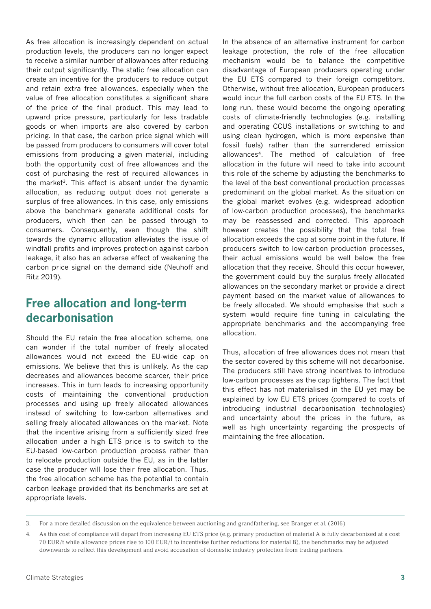As free allocation is increasingly dependent on actual production levels, the producers can no longer expect to receive a similar number of allowances after reducing their output significantly. The static free allocation can create an incentive for the producers to reduce output and retain extra free allowances, especially when the value of free allocation constitutes a significant share of the price of the final product. This may lead to upward price pressure, particularly for less tradable goods or when imports are also covered by carbon pricing. In that case, the carbon price signal which will be passed from producers to consumers will cover total emissions from producing a given material, including both the opportunity cost of free allowances and the cost of purchasing the rest of required allowances in the market<sup>3</sup>. This effect is absent under the dynamic allocation, as reducing output does not generate a surplus of free allowances. In this case, only emissions above the benchmark generate additional costs for producers, which then can be passed through to consumers. Consequently, even though the shift towards the dynamic allocation alleviates the issue of windfall profits and improves protection against carbon leakage, it also has an adverse effect of weakening the carbon price signal on the demand side (Neuhoff and Ritz 2019).

### **Free allocation and long-term decarbonisation**

Should the EU retain the free allocation scheme, one can wonder if the total number of freely allocated allowances would not exceed the EU-wide cap on emissions. We believe that this is unlikely. As the cap decreases and allowances become scarcer, their price increases. This in turn leads to increasing opportunity costs of maintaining the conventional production processes and using up freely allocated allowances instead of switching to low-carbon alternatives and selling freely allocated allowances on the market. Note that the incentive arising from a sufficiently sized free allocation under a high ETS price is to switch to the EU-based low-carbon production process rather than to relocate production outside the EU, as in the latter case the producer will lose their free allocation. Thus, the free allocation scheme has the potential to contain carbon leakage provided that its benchmarks are set at appropriate levels.

In the absence of an alternative instrument for carbon leakage protection, the role of the free allocation mechanism would be to balance the competitive disadvantage of European producers operating under the EU ETS compared to their foreign competitors. Otherwise, without free allocation, European producers would incur the full carbon costs of the EU ETS. In the long run, these would become the ongoing operating costs of climate-friendly technologies (e.g. installing and operating CCUS installations or switching to and using clean hydrogen, which is more expensive than fossil fuels) rather than the surrendered emission allowances4. The method of calculation of free allocation in the future will need to take into account this role of the scheme by adjusting the benchmarks to the level of the best conventional production processes predominant on the global market. As the situation on the global market evolves (e.g. widespread adoption of low-carbon production processes), the benchmarks may be reassessed and corrected. This approach however creates the possibility that the total free allocation exceeds the cap at some point in the future. If producers switch to low-carbon production processes, their actual emissions would be well below the free allocation that they receive. Should this occur however, the government could buy the surplus freely allocated allowances on the secondary market or provide a direct payment based on the market value of allowances to be freely allocated. We should emphasise that such a system would require fine tuning in calculating the appropriate benchmarks and the accompanying free allocation.

Thus, allocation of free allowances does not mean that the sector covered by this scheme will not decarbonise. The producers still have strong incentives to introduce low-carbon processes as the cap tightens. The fact that this effect has not materialised in the EU yet may be explained by low EU ETS prices (compared to costs of introducing industrial decarbonisation technologies) and uncertainty about the prices in the future, as well as high uncertainty regarding the prospects of maintaining the free allocation.

<sup>3.</sup> For a more detailed discussion on the equivalence between auctioning and grandfathering, see Branger et al. (2016)

<sup>4.</sup> As this cost of compliance will depart from increasing EU ETS price (e.g. primary production of material A is fully decarbonised at a cost 70 EUR/t while allowance prices rise to 100 EUR/t to incentivise further reductions for material B), the benchmarks may be adjusted downwards to reflect this development and avoid accusation of domestic industry protection from trading partners.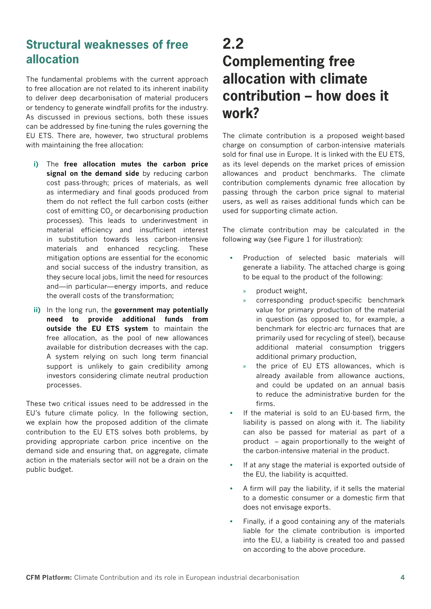## **Structural weaknesses of free allocation**

The fundamental problems with the current approach to free allocation are not related to its inherent inability to deliver deep decarbonisation of material producers or tendency to generate windfall profits for the industry. As discussed in previous sections, both these issues can be addressed by fine-tuning the rules governing the EU ETS. There are, however, two structural problems with maintaining the free allocation:

- **i)** The **free allocation mutes the carbon price signal on the demand side** by reducing carbon cost pass-through; prices of materials, as well as intermediary and final goods produced from them do not reflect the full carbon costs (either cost of emitting CO<sub>2</sub> or decarbonising production processes). This leads to underinvestment in material efficiency and insufficient interest in substitution towards less carbon-intensive materials and enhanced recycling. These mitigation options are essential for the economic and social success of the industry transition, as they secure local jobs, limit the need for resources and—in particular—energy imports, and reduce the overall costs of the transformation;
- **ii)** In the long run, the **government may potentially need to provide additional funds from outside the EU ETS system** to maintain the free allocation, as the pool of new allowances available for distribution decreases with the cap. A system relying on such long term financial support is unlikely to gain credibility among investors considering climate neutral production processes.

These two critical issues need to be addressed in the EU's future climate policy. In the following section, we explain how the proposed addition of the climate contribution to the EU ETS solves both problems, by providing appropriate carbon price incentive on the demand side and ensuring that, on aggregate, climate action in the materials sector will not be a drain on the public budget.

# **2.2 Complementing free allocation with climate contribution – how does it work?**

The climate contribution is a proposed weight-based charge on consumption of carbon-intensive materials sold for final use in Europe. It is linked with the EU ETS, as its level depends on the market prices of emission allowances and product benchmarks. The climate contribution complements dynamic free allocation by passing through the carbon price signal to material users, as well as raises additional funds which can be used for supporting climate action.

The climate contribution may be calculated in the following way (see Figure 1 for illustration):

- **•** Production of selected basic materials will generate a liability. The attached charge is going to be equal to the product of the following:
	- » product weight,
	- » corresponding product-specific benchmark value for primary production of the material in question (as opposed to, for example, a benchmark for electric-arc furnaces that are primarily used for recycling of steel), because additional material consumption triggers additional primary production,
	- the price of EU ETS allowances, which is already available from allowance auctions, and could be updated on an annual basis to reduce the administrative burden for the firms.
- **•** If the material is sold to an EU-based firm, the liability is passed on along with it. The liability can also be passed for material as part of a product – again proportionally to the weight of the carbon-intensive material in the product.
- **•** If at any stage the material is exported outside of the EU, the liability is acquitted.
- **•** A firm will pay the liability, if it sells the material to a domestic consumer or a domestic firm that does not envisage exports.
- **•** Finally, if a good containing any of the materials liable for the climate contribution is imported into the EU, a liability is created too and passed on according to the above procedure.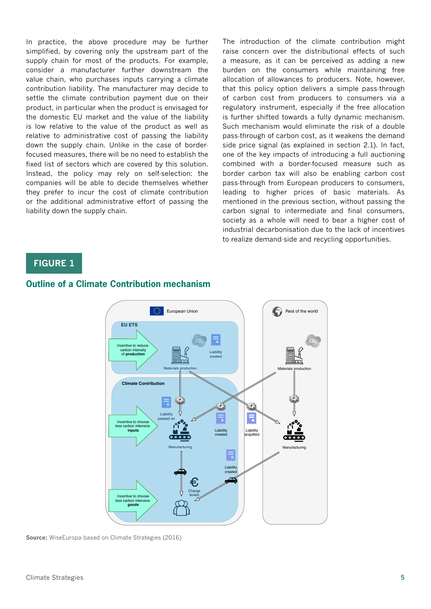In practice, the above procedure may be further simplified, by covering only the upstream part of the supply chain for most of the products. For example, consider a manufacturer further downstream the value chain, who purchases inputs carrying a climate contribution liability. The manufacturer may decide to settle the climate contribution payment due on their product, in particular when the product is envisaged for the domestic EU market and the value of the liability is low relative to the value of the product as well as relative to administrative cost of passing the liability down the supply chain. Unlike in the case of borderfocused measures, there will be no need to establish the fixed list of sectors which are covered by this solution. Instead, the policy may rely on self-selection: the companies will be able to decide themselves whether they prefer to incur the cost of climate contribution or the additional administrative effort of passing the liability down the supply chain.

The introduction of the climate contribution might raise concern over the distributional effects of such a measure, as it can be perceived as adding a new burden on the consumers while maintaining free allocation of allowances to producers. Note, however, that this policy option delivers a simple pass-through of carbon cost from producers to consumers via a regulatory instrument, especially if the free allocation is further shifted towards a fully dynamic mechanism. Such mechanism would eliminate the risk of a double pass-through of carbon cost, as it weakens the demand side price signal (as explained in section 2.1). In fact, one of the key impacts of introducing a full auctioning combined with a border-focused measure such as border carbon tax will also be enabling carbon cost pass-through from European producers to consumers, leading to higher prices of basic materials. As mentioned in the previous section, without passing the carbon signal to intermediate and final consumers, society as a whole will need to bear a higher cost of industrial decarbonisation due to the lack of incentives to realize demand-side and recycling opportunities.

#### **FIGURE 1**



#### **Outline of a Climate Contribution mechanism**

**Source:** WiseEuropa based on Climate Strategies (2016)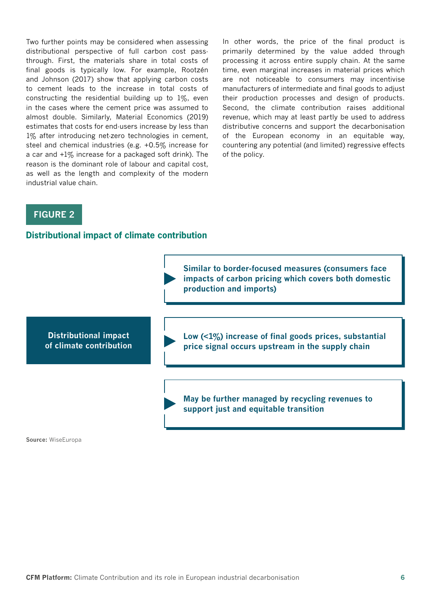Two further points may be considered when assessing distributional perspective of full carbon cost passthrough. First, the materials share in total costs of final goods is typically low. For example, Rootzén and Johnson (2017) show that applying carbon costs to cement leads to the increase in total costs of constructing the residential building up to  $1\%$ , even in the cases where the cement price was assumed to almost double. Similarly, Material Economics (2019) estimates that costs for end-users increase by less than 1% after introducing net-zero technologies in cement, steel and chemical industries (e.g. +0.5% increase for a car and +1% increase for a packaged soft drink). The reason is the dominant role of labour and capital cost, as well as the length and complexity of the modern industrial value chain.

In other words, the price of the final product is primarily determined by the value added through processing it across entire supply chain. At the same time, even marginal increases in material prices which are not noticeable to consumers may incentivise manufacturers of intermediate and final goods to adjust their production processes and design of products. Second, the climate contribution raises additional revenue, which may at least partly be used to address distributive concerns and support the decarbonisation of the European economy in an equitable way, countering any potential (and limited) regressive effects of the policy.

#### **FIGURE 2**

#### **Distributional impact of climate contribution**



**Source:** WiseEuropa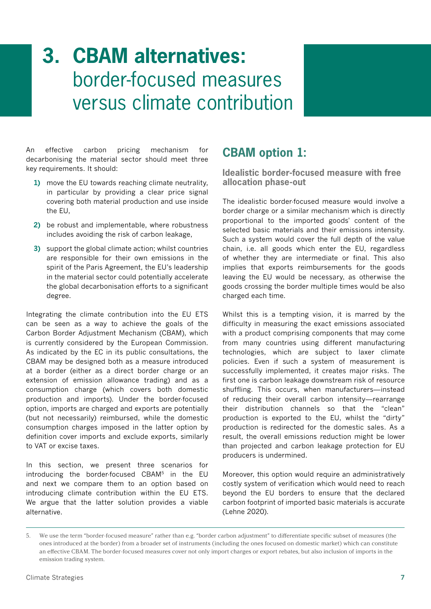# **3. CBAM alternatives:**  border-focused measures versus climate contribution

An effective carbon pricing mechanism for decarbonising the material sector should meet three key requirements. It should:

- **1)** move the EU towards reaching climate neutrality, in particular by providing a clear price signal covering both material production and use inside the EU,
- **2)** be robust and implementable, where robustness includes avoiding the risk of carbon leakage,
- **3)** support the global climate action; whilst countries are responsible for their own emissions in the spirit of the Paris Agreement, the EU's leadership in the material sector could potentially accelerate the global decarbonisation efforts to a significant degree.

Integrating the climate contribution into the EU ETS can be seen as a way to achieve the goals of the Carbon Border Adjustment Mechanism (CBAM), which is currently considered by the European Commission. As indicated by the EC in its public consultations, the CBAM may be designed both as a measure introduced at a border (either as a direct border charge or an extension of emission allowance trading) and as a consumption charge (which covers both domestic production and imports). Under the border-focused option, imports are charged and exports are potentially (but not necessarily) reimbursed, while the domestic consumption charges imposed in the latter option by definition cover imports and exclude exports, similarly to VAT or excise taxes.

In this section, we present three scenarios for introducing the border-focused CBAM5 in the EU and next we compare them to an option based on introducing climate contribution within the EU ETS. We argue that the latter solution provides a viable alternative.

## **CBAM option 1:**

**Idealistic border-focused measure with free allocation phase-out**

The idealistic border-focused measure would involve a border charge or a similar mechanism which is directly proportional to the imported goods' content of the selected basic materials and their emissions intensity. Such a system would cover the full depth of the value chain, i.e. all goods which enter the EU, regardless of whether they are intermediate or final. This also implies that exports reimbursements for the goods leaving the EU would be necessary, as otherwise the goods crossing the border multiple times would be also charged each time.

Whilst this is a tempting vision, it is marred by the difficulty in measuring the exact emissions associated with a product comprising components that may come from many countries using different manufacturing technologies, which are subject to laxer climate policies. Even if such a system of measurement is successfully implemented, it creates major risks. The first one is carbon leakage downstream risk of resource shuffling. This occurs, when manufacturers—instead of reducing their overall carbon intensity—rearrange their distribution channels so that the "clean" production is exported to the EU, whilst the "dirty" production is redirected for the domestic sales. As a result, the overall emissions reduction might be lower than projected and carbon leakage protection for EU producers is undermined.

Moreover, this option would require an administratively costly system of verification which would need to reach beyond the EU borders to ensure that the declared carbon footprint of imported basic materials is accurate (Lehne 2020).

<sup>5.</sup> We use the term "border-focused measure" rather than e.g. "border carbon adjustment" to differentiate specific subset of measures (the ones introduced at the border) from a broader set of instruments (including the ones focused on domestic market) which can constitute an effective CBAM. The border-focused measures cover not only import charges or export rebates, but also inclusion of imports in the emission trading system.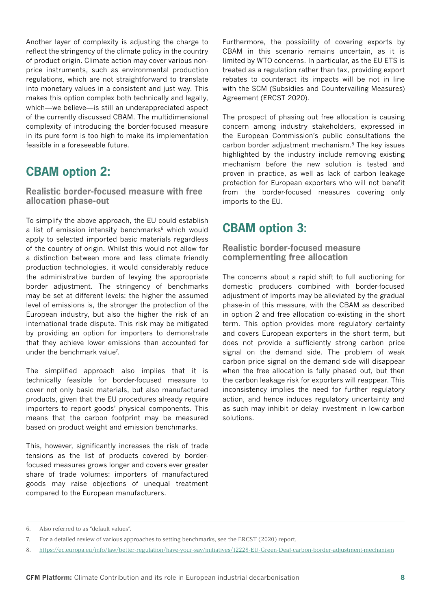Another layer of complexity is adjusting the charge to reflect the stringency of the climate policy in the country of product origin. Climate action may cover various nonprice instruments, such as environmental production regulations, which are not straightforward to translate into monetary values in a consistent and just way. This makes this option complex both technically and legally, which—we believe—is still an underappreciated aspect of the currently discussed CBAM. The multidimensional complexity of introducing the border-focused measure in its pure form is too high to make its implementation feasible in a foreseeable future.

### **CBAM option 2:**

**Realistic border-focused measure with free allocation phase-out**

To simplify the above approach, the EU could establish a list of emission intensity benchmarks<sup>6</sup> which would apply to selected imported basic materials regardless of the country of origin. Whilst this would not allow for a distinction between more and less climate friendly production technologies, it would considerably reduce the administrative burden of levying the appropriate border adjustment. The stringency of benchmarks may be set at different levels: the higher the assumed level of emissions is, the stronger the protection of the European industry, but also the higher the risk of an international trade dispute. This risk may be mitigated by providing an option for importers to demonstrate that they achieve lower emissions than accounted for under the benchmark value<sup>7</sup>.

The simplified approach also implies that it is technically feasible for border-focused measure to cover not only basic materials, but also manufactured products, given that the EU procedures already require importers to report goods' physical components. This means that the carbon footprint may be measured based on product weight and emission benchmarks.

This, however, significantly increases the risk of trade tensions as the list of products covered by borderfocused measures grows longer and covers ever greater share of trade volumes: importers of manufactured goods may raise objections of unequal treatment compared to the European manufacturers.

Furthermore, the possibility of covering exports by CBAM in this scenario remains uncertain, as it is limited by WTO concerns. In particular, as the EU ETS is treated as a regulation rather than tax, providing export rebates to counteract its impacts will be not in line with the SCM (Subsidies and Countervailing Measures) Agreement (ERCST 2020).

The prospect of phasing out free allocation is causing concern among industry stakeholders, expressed in the European Commission's public consultations the carbon border adjustment mechanism.8 The key issues highlighted by the industry include removing existing mechanism before the new solution is tested and proven in practice, as well as lack of carbon leakage protection for European exporters who will not benefit from the border-focused measures covering only imports to the EU.

## **CBAM option 3:**

**Realistic border-focused measure complementing free allocation**

The concerns about a rapid shift to full auctioning for domestic producers combined with border-focused adjustment of imports may be alleviated by the gradual phase-in of this measure, with the CBAM as described in option 2 and free allocation co-existing in the short term. This option provides more regulatory certainty and covers European exporters in the short term, but does not provide a sufficiently strong carbon price signal on the demand side. The problem of weak carbon price signal on the demand side will disappear when the free allocation is fully phased out, but then the carbon leakage risk for exporters will reappear. This inconsistency implies the need for further regulatory action, and hence induces regulatory uncertainty and as such may inhibit or delay investment in low-carbon solutions.

<sup>6.</sup> Also referred to as "default values".

<sup>7.</sup> For a detailed review of various approaches to setting benchmarks, see the ERCST (2020) report.

<sup>8.</sup> <https://ec.europa.eu/info/law/better-regulation/have-your-say/initiatives/12228-EU-Green-Deal-carbon-border-adjustment-mechanism>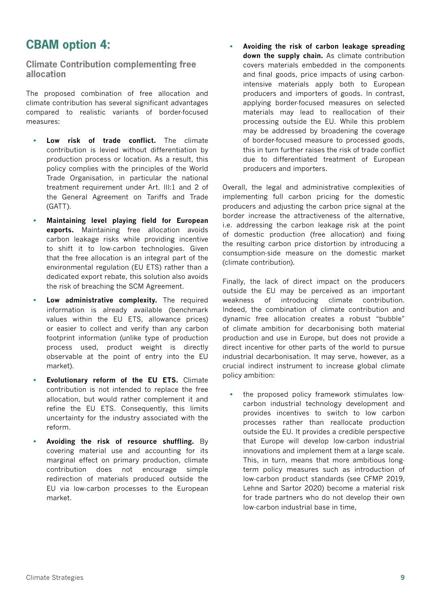## **CBAM option 4:**

**Climate Contribution complementing free allocation**

The proposed combination of free allocation and climate contribution has several significant advantages compared to realistic variants of border-focused measures:

- **• Low risk of trade conflict.** The climate contribution is levied without differentiation by production process or location. As a result, this policy complies with the principles of the World Trade Organisation, in particular the national treatment requirement under Art. III:1 and 2 of the General Agreement on Tariffs and Trade (GATT).
- **• Maintaining level playing field for European exports.** Maintaining free allocation avoids carbon leakage risks while providing incentive to shift it to low-carbon technologies. Given that the free allocation is an integral part of the environmental regulation (EU ETS) rather than a dedicated export rebate, this solution also avoids the risk of breaching the SCM Agreement.
- **• Low administrative complexity.** The required information is already available (benchmark values within the EU ETS, allowance prices) or easier to collect and verify than any carbon footprint information (unlike type of production process used, product weight is directly observable at the point of entry into the EU market).
- **• Evolutionary reform of the EU ETS.** Climate contribution is not intended to replace the free allocation, but would rather complement it and refine the EU ETS. Consequently, this limits uncertainty for the industry associated with the reform.
- **• Avoiding the risk of resource shuffling.** By covering material use and accounting for its marginal effect on primary production, climate contribution does not encourage simple redirection of materials produced outside the EU via low-carbon processes to the European market.

**• Avoiding the risk of carbon leakage spreading down the supply chain.** As climate contribution covers materials embedded in the components and final goods, price impacts of using carbonintensive materials apply both to European producers and importers of goods. In contrast, applying border-focused measures on selected materials may lead to reallocation of their processing outside the EU. While this problem may be addressed by broadening the coverage of border-focused measure to processed goods, this in turn further raises the risk of trade conflict due to differentiated treatment of European producers and importers.

Overall, the legal and administrative complexities of implementing full carbon pricing for the domestic producers and adjusting the carbon price signal at the border increase the attractiveness of the alternative, i.e. addressing the carbon leakage risk at the point of domestic production (free allocation) and fixing the resulting carbon price distortion by introducing a consumption-side measure on the domestic market (climate contribution).

Finally, the lack of direct impact on the producers outside the EU may be perceived as an important weakness of introducing climate contribution. Indeed, the combination of climate contribution and dynamic free allocation creates a robust "bubble" of climate ambition for decarbonising both material production and use in Europe, but does not provide a direct incentive for other parts of the world to pursue industrial decarbonisation. It may serve, however, as a crucial indirect instrument to increase global climate policy ambition:

**•** the proposed policy framework stimulates lowcarbon industrial technology development and provides incentives to switch to low carbon processes rather than reallocate production outside the EU. It provides a credible perspective that Europe will develop low-carbon industrial innovations and implement them at a large scale. This, in turn, means that more ambitious longterm policy measures such as introduction of low-carbon product standards (see CFMP 2019, Lehne and Sartor 2020) become a material risk for trade partners who do not develop their own low-carbon industrial base in time,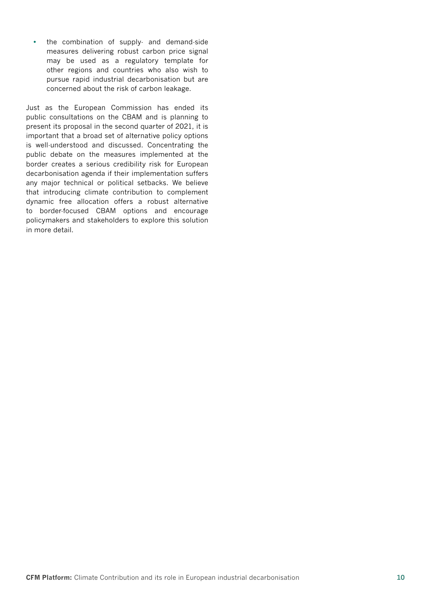**•** the combination of supply- and demand-side measures delivering robust carbon price signal may be used as a regulatory template for other regions and countries who also wish to pursue rapid industrial decarbonisation but are concerned about the risk of carbon leakage.

Just as the European Commission has ended its public consultations on the CBAM and is planning to present its proposal in the second quarter of 2021, it is important that a broad set of alternative policy options is well-understood and discussed. Concentrating the public debate on the measures implemented at the border creates a serious credibility risk for European decarbonisation agenda if their implementation suffers any major technical or political setbacks. We believe that introducing climate contribution to complement dynamic free allocation offers a robust alternative to border-focused CBAM options and encourage policymakers and stakeholders to explore this solution in more detail.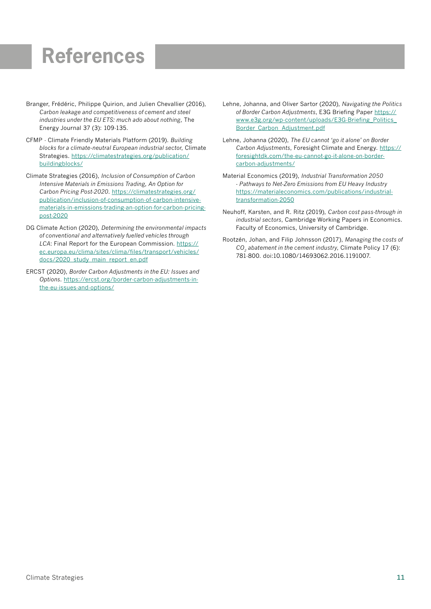# **References**

- Branger, Frédéric, Philippe Quirion, and Julien Chevallier (2016), *Carbon leakage and competitiveness of cement and steel industries under the EU ETS: much ado about nothing*, The Energy Journal 37 (3): 109-135.
- CFMP Climate Friendly Materials Platform (2019). *Building blocks for a climate-neutral European industrial sector*, Climate Strategies. [https://climatestrategies.org/publication/](https://climatestrategies.org/publication/buildingblocks/) [buildingblocks/](https://climatestrategies.org/publication/buildingblocks/)
- Climate Strategies (2016), *Inclusion of Consumption of Carbon Intensive Materials in Emissions Trading, An Option for Carbon Pricing Post-2020*. [https://climatestrategies.org/](https://climatestrategies.org/publication/inclusion-of-consumption-of-carbon-intensive-materials-in-emissions-trading-an-option-for-carbon-pricing-post-2020) [publication/inclusion-of-consumption-of-carbon-intensive](https://climatestrategies.org/publication/inclusion-of-consumption-of-carbon-intensive-materials-in-emissions-trading-an-option-for-carbon-pricing-post-2020)[materials-in-emissions-trading-an-option-for-carbon-pricing](https://climatestrategies.org/publication/inclusion-of-consumption-of-carbon-intensive-materials-in-emissions-trading-an-option-for-carbon-pricing-post-2020)[post-2020](https://climatestrategies.org/publication/inclusion-of-consumption-of-carbon-intensive-materials-in-emissions-trading-an-option-for-carbon-pricing-post-2020)
- DG Climate Action (2020), *Determining the environmental impacts of conventional and alternatively fuelled vehicles through LCA*: Final Report for the European Commission. [https://](https://ec.europa.eu/clima/sites/clima/files/transport/vehicles/docs/2020_study_main_report_en.pdf) [ec.europa.eu/clima/sites/clima/files/transport/vehicles/](https://ec.europa.eu/clima/sites/clima/files/transport/vehicles/docs/2020_study_main_report_en.pdf) [docs/2020\\_study\\_main\\_report\\_en.pdf](https://ec.europa.eu/clima/sites/clima/files/transport/vehicles/docs/2020_study_main_report_en.pdf)
- ERCST (2020), *Border Carbon Adjustments in the EU: Issues and Options*. [https://ercst.org/border-carbon-adjustments-in](https://ercst.org/border-carbon-adjustments-in-the-eu-issues-and-options/)[the-eu-issues-and-options/](https://ercst.org/border-carbon-adjustments-in-the-eu-issues-and-options/)
- Lehne, Johanna, and Oliver Sartor (2020), *Navigating the Politics of Border Carbon Adjustments*, E3G Briefing Paper [https://](https://www.e3g.org/wp-content/uploads/E3G-Briefing_Politics_Border_Carbon_Adjustment.pdf) [www.e3g.org/wp-content/uploads/E3G-Briefing\\_Politics\\_](https://www.e3g.org/wp-content/uploads/E3G-Briefing_Politics_Border_Carbon_Adjustment.pdf) [Border\\_Carbon\\_Adjustment.pdf](https://www.e3g.org/wp-content/uploads/E3G-Briefing_Politics_Border_Carbon_Adjustment.pdf)
- Lehne, Johanna (2020), *The EU cannot 'go it alone' on Border Carbon Adjustments*, Foresight Climate and Energy. [https://](https://foresightdk.com/the-eu-cannot-go-it-alone-on-border-carbon-adjustments/) [foresightdk.com/the-eu-cannot-go-it-alone-on-border](https://foresightdk.com/the-eu-cannot-go-it-alone-on-border-carbon-adjustments/)[carbon-adjustments/](https://foresightdk.com/the-eu-cannot-go-it-alone-on-border-carbon-adjustments/)
- Material Economics (2019), *Industrial Transformation 2050 - Pathways to Net-Zero Emissions from EU Heavy Industry*  [https://materialeconomics.com/publications/industrial](https://materialeconomics.com/publications/industrial-transformation-2050)[transformation-2050](https://materialeconomics.com/publications/industrial-transformation-2050)
- Neuhoff, Karsten, and R. Ritz (2019), *Carbon cost pass-through in industrial sectors*, Cambridge Working Papers in Economics. Faculty of Economics, University of Cambridge.
- Rootzén, Johan, and Filip Johnsson (2017), *Managing the costs of CO2 abatement in the cement industry*, Climate Policy 17 (6): 781-800. doi:10.1080/14693062.2016.1191007.